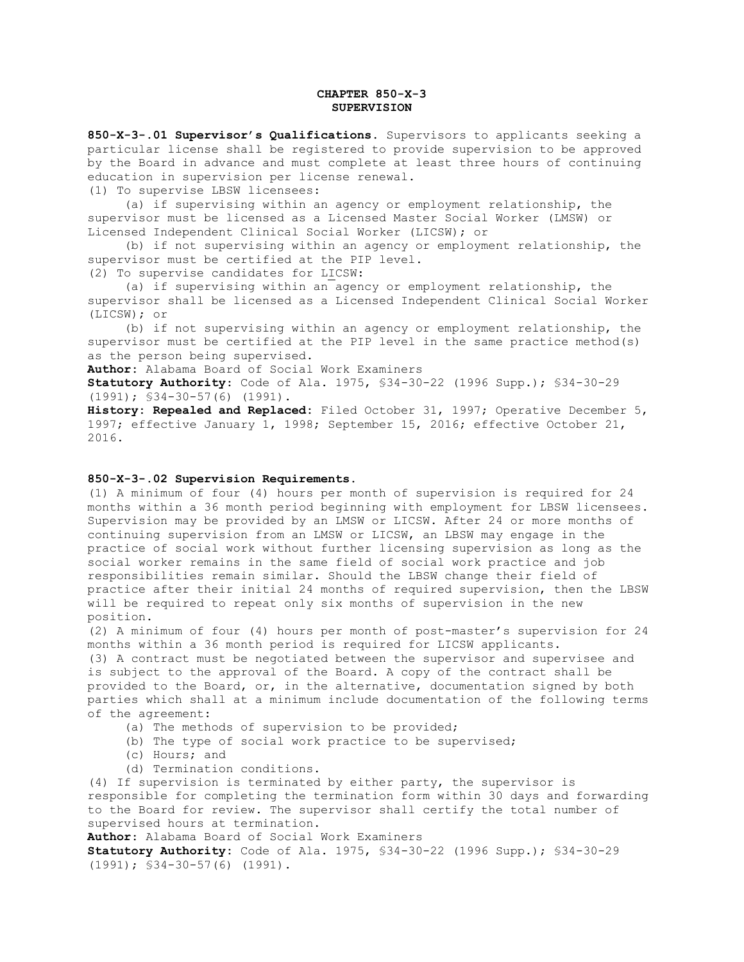## **CHAPTER 850-X-3 SUPERVISION**

**850-X-3-.01 Supervisor's Qualifications**. Supervisors to applicants seeking a particular license shall be registered to provide supervision to be approved by the Board in advance and must complete at least three hours of continuing education in supervision per license renewal.

(1) To supervise LBSW licensees:

 (a) if supervising within an agency or employment relationship, the supervisor must be licensed as a Licensed Master Social Worker (LMSW) or Licensed Independent Clinical Social Worker (LICSW); or

 (b) if not supervising within an agency or employment relationship, the supervisor must be certified at the PIP level. (2) To supervise candidates for LICSW:

 (a) if supervising within an agency or employment relationship, the supervisor shall be licensed as a Licensed Independent Clinical Social Worker (LICSW); or

 (b) if not supervising within an agency or employment relationship, the supervisor must be certified at the PIP level in the same practice method(s) as the person being supervised.

**Author:** Alabama Board of Social Work Examiners

**Statutory Authority**: Code of Ala. 1975, §34-30-22 (1996 Supp.); §34-30-29 (1991); §34-30-57(6) (1991).

**History: Repealed and Replaced:** Filed October 31, 1997; Operative December 5, 1997; effective January 1, 1998; September 15, 2016; effective October 21, 2016.

## **850-X-3-.02 Supervision Requirements.**

(1) A minimum of four (4) hours per month of supervision is required for 24 months within a 36 month period beginning with employment for LBSW licensees. Supervision may be provided by an LMSW or LICSW. After 24 or more months of continuing supervision from an LMSW or LICSW, an LBSW may engage in the practice of social work without further licensing supervision as long as the social worker remains in the same field of social work practice and job responsibilities remain similar. Should the LBSW change their field of practice after their initial 24 months of required supervision, then the LBSW will be required to repeat only six months of supervision in the new position.

(2) A minimum of four (4) hours per month of post-master's supervision for 24 months within a 36 month period is required for LICSW applicants. (3) A contract must be negotiated between the supervisor and supervisee and is subject to the approval of the Board. A copy of the contract shall be provided to the Board, or, in the alternative, documentation signed by both

parties which shall at a minimum include documentation of the following terms of the agreement:

- (a) The methods of supervision to be provided;
- (b) The type of social work practice to be supervised;
- (c) Hours; and
- (d) Termination conditions.

(4) If supervision is terminated by either party, the supervisor is responsible for completing the termination form within 30 days and forwarding to the Board for review. The supervisor shall certify the total number of supervised hours at termination.

**Author**: Alabama Board of Social Work Examiners

**Statutory Authority:** Code of Ala. 1975, §34-30-22 (1996 Supp.); §34-30-29 (1991); §34-30-57(6) (1991).